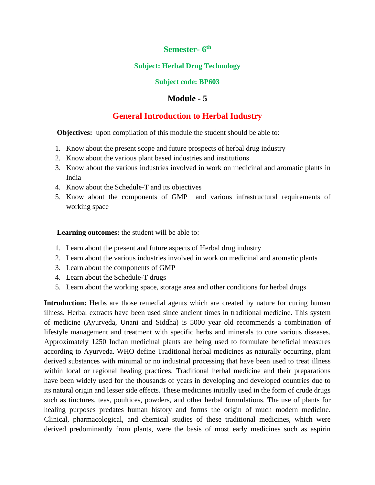## **Semester- 6 th**

#### **Subject: Herbal Drug Technology**

#### **Subject code: BP603**

## **Module - 5**

# **General Introduction to Herbal Industry**

**Objectives:** upon compilation of this module the student should be able to:

- 1. Know about the present scope and future prospects of herbal drug industry
- 2. Know about the various plant based industries and institutions
- 3. Know about the various industries involved in work on medicinal and aromatic plants in India
- 4. Know about the Schedule-T and its objectives
- 5. Know about the components of GMP and various infrastructural requirements of working space

 **Learning outcomes:** the student will be able to:

- 1. Learn about the present and future aspects of Herbal drug industry
- 2. Learn about the various industries involved in work on medicinal and aromatic plants
- 3. Learn about the components of GMP
- 4. Learn about the Schedule-T drugs
- 5. Learn about the working space, storage area and other conditions for herbal drugs

**Introduction:** Herbs are those remedial agents which are created by nature for curing human illness. Herbal extracts have been used since ancient times in traditional medicine. This system of medicine (Ayurveda, Unani and Siddha) is 5000 year old recommends a combination of lifestyle management and treatment with specific herbs and minerals to cure various diseases. Approximately 1250 Indian medicinal plants are being used to formulate beneficial measures according to Ayurveda. WHO define Traditional herbal medicines as naturally occurring, plant derived substances with minimal or no industrial processing that have been used to treat illness within local or regional healing practices. Traditional herbal medicine and their preparations have been widely used for the thousands of years in developing and developed countries due to its natural origin and lesser side effects. These medicines initially used in the form of crude drugs such as tinctures, teas, poultices, powders, and other herbal formulations. The use of plants for healing purposes predates human history and forms the origin of much modern medicine. Clinical, pharmacological, and chemical studies of these traditional medicines, which were derived predominantly from plants, were the basis of most early medicines such as aspirin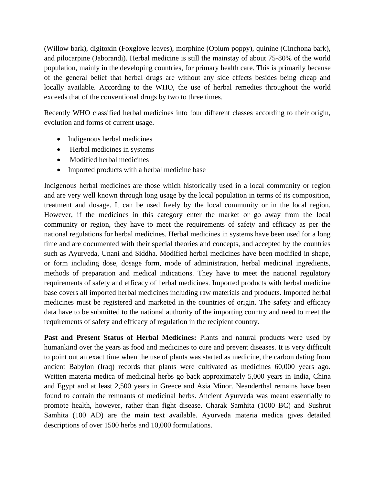(Willow bark), digitoxin (Foxglove leaves), morphine (Opium poppy), quinine (Cinchona bark), and pilocarpine (Jaborandi). Herbal medicine is still the mainstay of about 75-80% of the world population, mainly in the developing countries, for primary health care. This is primarily because of the general belief that herbal drugs are without any side effects besides being cheap and locally available. According to the WHO, the use of herbal remedies throughout the world exceeds that of the conventional drugs by two to three times.

Recently WHO classified herbal medicines into four different classes according to their origin, evolution and forms of current usage.

- Indigenous herbal medicines
- Herbal medicines in systems
- Modified herbal medicines
- Imported products with a herbal medicine base

Indigenous herbal medicines are those which historically used in a local community or region and are very well known through long usage by the local population in terms of its composition, treatment and dosage. It can be used freely by the local community or in the local region. However, if the medicines in this category enter the market or go away from the local community or region, they have to meet the requirements of safety and efficacy as per the national regulations for herbal medicines. Herbal medicines in systems have been used for a long time and are documented with their special theories and concepts, and accepted by the countries such as Ayurveda, Unani and Siddha. Modified herbal medicines have been modified in shape, or form including dose, dosage form, mode of administration, herbal medicinal ingredients, methods of preparation and medical indications. They have to meet the national regulatory requirements of safety and efficacy of herbal medicines. Imported products with herbal medicine base covers all imported herbal medicines including raw materials and products. Imported herbal medicines must be registered and marketed in the countries of origin. The safety and efficacy data have to be submitted to the national authority of the importing country and need to meet the requirements of safety and efficacy of regulation in the recipient country.

Past and Present Status of Herbal Medicines: Plants and natural products were used by humankind over the years as food and medicines to cure and prevent diseases. It is very difficult to point out an exact time when the use of plants was started as medicine, the carbon dating from ancient Babylon (Iraq) records that plants were cultivated as medicines 60,000 years ago. Written materia medica of medicinal herbs go back approximately 5,000 years in India, China and Egypt and at least 2,500 years in Greece and Asia Minor. Neanderthal remains have been found to contain the remnants of medicinal herbs. Ancient Ayurveda was meant essentially to promote health, however, rather than fight disease. Charak Samhita (1000 BC) and Sushrut Samhita (100 AD) are the main text available. Ayurveda materia medica gives detailed descriptions of over 1500 herbs and 10,000 formulations.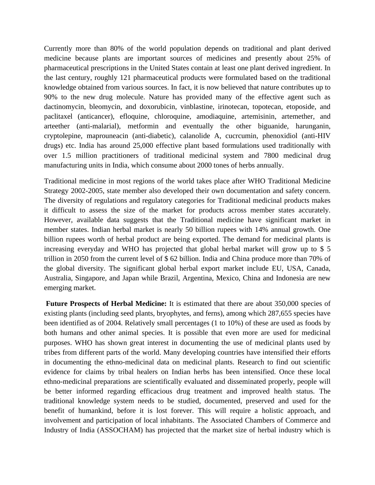Currently more than 80% of the world population depends on traditional and plant derived medicine because plants are important sources of medicines and presently about 25% of pharmaceutical prescriptions in the United States contain at least one plant derived ingredient. In the last century, roughly 121 pharmaceutical products were formulated based on the traditional knowledge obtained from various sources. In fact, it is now believed that nature contributes up to 90% to the new drug molecule. Nature has provided many of the effective agent such as dactinomycin, bleomycin, and doxorubicin, vinblastine, irinotecan, topotecan, etoposide, and paclitaxel (anticancer), efloquine, chloroquine, amodiaquine, artemisinin, artemether, and arteether (anti-malarial), metformin and eventually the other biguanide, harunganin, cryptolepine, maprouneacin (anti-diabetic), calanolide A, cucrcumin, phenoxidiol (anti-HIV drugs) etc. India has around 25,000 effective plant based formulations used traditionally with over 1.5 million practitioners of traditional medicinal system and 7800 medicinal drug manufacturing units in India, which consume about 2000 tones of herbs annually.

Traditional medicine in most regions of the world takes place after WHO Traditional Medicine Strategy 2002-2005, state member also developed their own documentation and safety concern. The diversity of regulations and regulatory categories for Traditional medicinal products makes it difficult to assess the size of the market for products across member states accurately. However, available data suggests that the Traditional medicine have significant market in member states. Indian herbal market is nearly 50 billion rupees with 14% annual growth. One billion rupees worth of herbal product are being exported. The demand for medicinal plants is increasing everyday and WHO has projected that global herbal market will grow up to \$ 5 trillion in 2050 from the current level of \$ 62 billion. India and China produce more than 70% of the global diversity. The significant global herbal export market include EU, USA, Canada, Australia, Singapore, and Japan while Brazil, Argentina, Mexico, China and Indonesia are new emerging market.

**Future Prospects of Herbal Medicine:** It is estimated that there are about 350,000 species of existing plants (including seed plants, bryophytes, and ferns), among which 287,655 species have been identified as of 2004. Relatively small percentages (1 to 10%) of these are used as foods by both humans and other animal species. It is possible that even more are used for medicinal purposes. WHO has shown great interest in documenting the use of medicinal plants used by tribes from different parts of the world. Many developing countries have intensified their efforts in documenting the ethno-medicinal data on medicinal plants. Research to find out scientific evidence for claims by tribal healers on Indian herbs has been intensified. Once these local ethno-medicinal preparations are scientifically evaluated and disseminated properly, people will be better informed regarding efficacious drug treatment and improved health status. The traditional knowledge system needs to be studied, documented, preserved and used for the benefit of humankind, before it is lost forever. This will require a holistic approach, and involvement and participation of local inhabitants. The Associated Chambers of Commerce and Industry of India (ASSOCHAM) has projected that the market size of herbal industry which is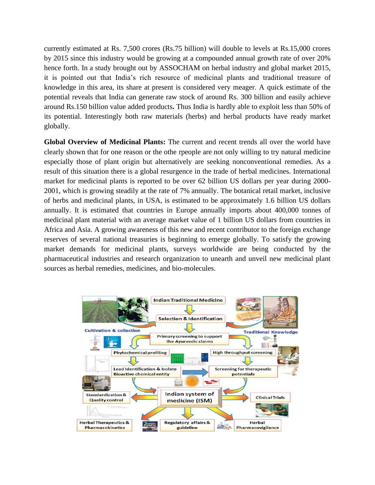currently estimated at Rs. 7,500 crores (Rs.75 billion) will double to levels at Rs.15,000 crores by 2015 since this industry would be growing at a compounded annual growth rate of over 20% hence forth. In a study brought out by ASSOCHAM on herbal industry and global market 2015, it is pointed out that India's rich resource of medicinal plants and traditional treasure of knowledge in this area, its share at present is considered very meager. A quick estimate of the potential reveals that India can generate raw stock of around Rs. 300 billion and easily achieve around Rs.150 billion value added products**.** Thus India is hardly able to exploit less than 50% of its potential. Interestingly both raw materials (herbs) and herbal products have ready market globally.

**Global Overview of Medicinal Plants:** The current and recent trends all over the world have clearly shown that for one reason or the othe rpeople are not only willing to try natural medicine especially those of plant origin but alternatively are seeking nonconventional remedies. As a result of this situation there is a global resurgence in the trade of herbal medicines. International market for medicinal plants is reported to be over 62 billion US dollars per year during 2000- 2001, which is growing steadily at the rate of 7% annually. The botanical retail market, inclusive of herbs and medicinal plants, in USA, is estimated to be approximately 1.6 billion US dollars annually. It is estimated that countries in Europe annually imports about 400,000 tonnes of medicinal plant material with an average market value of 1 billion US dollars from countries in Africa and Asia. A growing awareness of this new and recent contributor to the foreign exchange reserves of several national treasuries is beginning to emerge globally. To satisfy the growing market demands for medicinal plants, surveys worldwide are being conducted by the pharmaceutical industries and research organization to unearth and unveil new medicinal plant sources as herbal remedies, medicines, and bio-molecules.

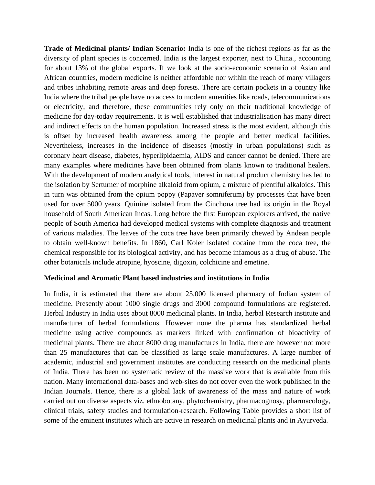**Trade of Medicinal plants/ Indian Scenario:** India is one of the richest regions as far as the diversity of plant species is concerned. India is the largest exporter, next to China., accounting for about 13% of the global exports. If we look at the socio-economic scenario of Asian and African countries, modern medicine is neither affordable nor within the reach of many villagers and tribes inhabiting remote areas and deep forests. There are certain pockets in a country like India where the tribal people have no access to modern amenities like roads, telecommunications or electricity, and therefore, these communities rely only on their traditional knowledge of medicine for day-today requirements. It is well established that industrialisation has many direct and indirect effects on the human population. Increased stress is the most evident, although this is offset by increased health awareness among the people and better medical facilities. Nevertheless, increases in the incidence of diseases (mostly in urban populations) such as coronary heart disease, diabetes, hyperlipidaemia, AIDS and cancer cannot be denied. There are many examples where medicines have been obtained from plants known to traditional healers. With the development of modern analytical tools, interest in natural product chemistry has led to the isolation by Serturner of morphine alkaloid from opium, a mixture of plentiful alkaloids. This in turn was obtained from the opium poppy (Papaver somniferum) by processes that have been used for over 5000 years. Quinine isolated from the Cinchona tree had its origin in the Royal household of South American Incas. Long before the first European explorers arrived, the native people of South America had developed medical systems with complete diagnosis and treatment of various maladies. The leaves of the coca tree have been primarily chewed by Andean people to obtain well-known benefits. In 1860, Carl Koler isolated cocaine from the coca tree, the chemical responsible for its biological activity, and has become infamous as a drug of abuse. The other botanicals include atropine, hyoscine, digoxin, colchicine and emetine.

#### **Medicinal and Aromatic Plant based industries and institutions in India**

In India, it is estimated that there are about 25,000 licensed pharmacy of Indian system of medicine. Presently about 1000 single drugs and 3000 compound formulations are registered. Herbal Industry in India uses about 8000 medicinal plants. In India, herbal Research institute and manufacturer of herbal formulations. However none the pharma has standardized herbal medicine using active compounds as markers linked with confirmation of bioactivity of medicinal plants. There are about 8000 drug manufactures in India, there are however not more than 25 manufactures that can be classified as large scale manufactures. A large number of academic, industrial and government institutes are conducting research on the medicinal plants of India. There has been no systematic review of the massive work that is available from this nation. Many international data-bases and web-sites do not cover even the work published in the Indian Journals. Hence, there is a global lack of awareness of the mass and nature of work carried out on diverse aspects viz. ethnobotany, phytochemistry, pharmacognosy, pharmacology, clinical trials, safety studies and formulation-research. Following Table provides a short list of some of the eminent institutes which are active in research on medicinal plants and in Ayurveda.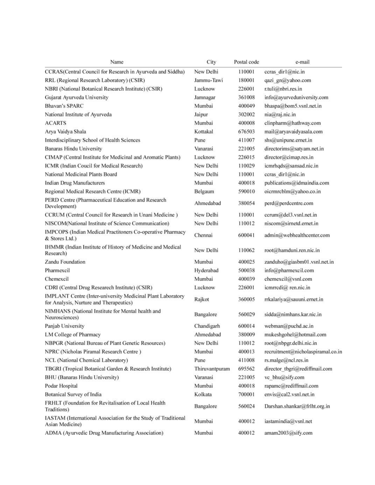| Name                                                                                                          | City           | Postal code | e-mail                            |
|---------------------------------------------------------------------------------------------------------------|----------------|-------------|-----------------------------------|
| CCRAS(Central Council for Research in Ayurveda and Siddha)                                                    | New Delhi      | 110001      | ccras_dir1@nic.in                 |
| RRL (Regional Research Laboratory) (CSIR)                                                                     | Jammu-Tawi     | 180001      | qazi gn@yahoo.com                 |
| NBRI (National Botanical Research Institute) (CSIR)                                                           | Lucknow        | 226001      | r.tuli@nbri.res.in                |
| Gujarat Ayurveda University                                                                                   | Jamnagar       | 361008      | info@ayurveduniversity.com        |
| <b>Bhavan's SPARC</b>                                                                                         | Mumbai         | 400049      | bhaspa@bom5.vsnl.net.in           |
| National Institute of Ayurveda                                                                                | Jaipur         | 302002      | nia@raj.nic.in                    |
| <b>ACARTS</b>                                                                                                 | Mumbai         | 400008      | clinpharm@hathway.com             |
| Arya Vaidya Shala                                                                                             | Kottakal       | 676503      | mail@aryavaidyasala.com           |
| Interdisciplinary School of Health Sciences                                                                   | Pune           | 411007      | shs@unipune.ernet.in              |
| <b>Banaras Hindu University</b>                                                                               | Vanarasi       | 221005      | directorims@satyam.net.in         |
| CIMAP (Central Institute for Medicinal and Aromatic Plants)                                                   | Lucknow        | 226015      | director@cimap.res.in             |
| ICMR (Indian Coucil for Medical Research)                                                                     | New Delhi      | 110029      | icmrhqds@sansad.nic.in            |
| National Medicinal Plants Board                                                                               | New Delhi      | 110001      | ccras dirl@nic.in                 |
| <b>Indian Drug Manufacturers</b>                                                                              | Mumbai         | 400018      | publications@idmaindia.com        |
| Regional Medical Research Centre (ICMR)                                                                       | Belgaum        | 590010      | oicrmrcblm@yahoo.co.in            |
| PERD Centre (Pharmaceutical Education and Research<br>Development)                                            | Ahmedabad      | 380054      | perd@perdcentre.com               |
| CCRUM (Central Council for Research in Unani Medicine)                                                        | New Delhi      | 110001      | ccrum@del3.vsnl.net.in            |
| NISCOM(National Institute of Science Communication)                                                           | New Delhi      | 110012      | niscom@sirnetd.ernet.in           |
| IMPCOPS (Indian Medical Practitoners Co-operative Pharmacy<br>& Stores Ltd.)                                  | Chennai        | 600041      | admin@webhealthcenter.com         |
| IHMMR (Indian Institute of History of Medicine and Medical<br>Research)                                       | New Delhi      | 110062      | root@hamduni.ren.nic.in           |
| Zandu Foundation                                                                                              | Mumbai         | 400025      | zanduho@giasbm01.vsnl.net.in      |
| Pharmexcil                                                                                                    | Hyderabad      | 500038      | info@pharmexcil.com               |
| Chemexcil                                                                                                     | Mumbai         | 400039      | chemexcil@vsnl.com                |
| CDRI (Central Drug Researech Institute) (CSIR)                                                                | Lucknow        | 226001      | icmrredi@ ren.nic.in              |
| <b>IMPLANT Centre (Inter-university Medicinal Plant Laboratory</b><br>for Analysis, Nurture and Therapeutics) | Rajkot         | 360005      | rrkalariya@sauuni.ernet.in        |
| NIMHANS (National Institute for Mental health and<br>Neurosciences)                                           | Bangalore      | 560029      | sidda@nimhans.kar.nic.in          |
| Panjab University                                                                                             | Chandigarh     | 600014      | webman@puchd.ac.in                |
| LM College of Pharmacy                                                                                        | Ahmedabad      | 380009      | mukeshgohel@hotmail.com           |
| NBPGR (National Bureau of Plant Genetic Resources)                                                            | New Delhi      | 110012      | root@nbpgr.delhi.nic.in           |
| NPRC (Nicholas Piramal Research Centre)                                                                       | Mumbai         | 400013      | recruitment@nicholaspiramal.co.in |
| NCL (National Chemical Laboratory)                                                                            | Pune           | 411008      | rs.malge@ncl.res.in               |
| TBGRI (Tropical Botanical Garden & Research Institute)                                                        | Thiruvantpuram | 695562      | director tbgri@rediffmail.com     |
| BHU (Banaras Hindu University)                                                                                | Varanasi       | 221005      | vc bhu@sify.com                   |
| Podar Hospital                                                                                                | Mumbai         | 400018      | rapamc@rediffmail.com             |
| <b>Botanical Survey of India</b>                                                                              | Kolkata        | 700001      | envis@cal2.vsnl.net.in            |
| FRHLT (Foundation for Revitalisation of Local Health<br>Traditions)                                           | Bangalore      | 560024      | Darshan.shankar@frlht.org.in      |
| IASTAM (International Association for the Study of Traditional<br>Asian Medicine)                             | Mumbai         | 400012      | iastamindia@vsnl.net              |
| ADMA (Ayurvedic Drug Manufacturing Association)                                                               | Mumbai         | 400012      | amam2003@sify.com                 |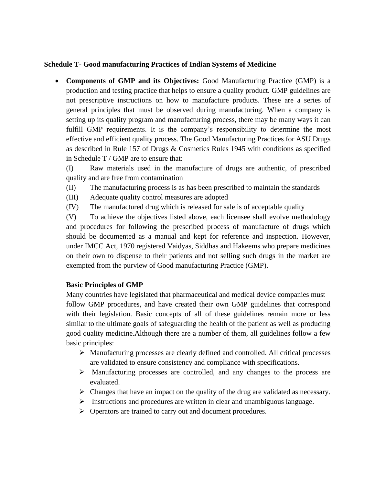#### **Schedule T- Good manufacturing Practices of Indian Systems of Medicine**

• **Components of GMP and its Objectives:** Good Manufacturing Practice (GMP) is a production and testing practice that helps to ensure a quality product. GMP guidelines are not prescriptive instructions on how to manufacture products. These are a series of general principles that must be observed during manufacturing. When a company is setting up its quality program and manufacturing process, there may be many ways it can fulfill GMP requirements. It is the company's responsibility to determine the most effective and efficient quality process. The Good Manufacturing Practices for ASU Drugs as described in Rule 157 of Drugs & Cosmetics Rules 1945 with conditions as specified in Schedule T / GMP are to ensure that:

(I) Raw materials used in the manufacture of drugs are authentic, of prescribed quality and are free from contamination

(II) The manufacturing process is as has been prescribed to maintain the standards

(III) Adequate quality control measures are adopted

(IV) The manufactured drug which is released for sale is of acceptable quality

(V) To achieve the objectives listed above, each licensee shall evolve methodology and procedures for following the prescribed process of manufacture of drugs which should be documented as a manual and kept for reference and inspection. However, under IMCC Act, 1970 registered Vaidyas, Siddhas and Hakeems who prepare medicines on their own to dispense to their patients and not selling such drugs in the market are exempted from the purview of Good manufacturing Practice (GMP).

#### **Basic Principles of GMP**

Many countries have legislated that pharmaceutical and medical device companies must follow GMP procedures, and have created their own GMP guidelines that correspond with their legislation. Basic concepts of all of these guidelines remain more or less similar to the ultimate goals of safeguarding the health of the patient as well as producing good quality medicine.Although there are a number of them, all guidelines follow a few basic principles:

- ➢ Manufacturing processes are clearly defined and controlled. All critical processes are validated to ensure consistency and compliance with specifications.
- ➢ Manufacturing processes are controlled, and any changes to the process are evaluated.
- $\triangleright$  Changes that have an impact on the quality of the drug are validated as necessary.
- ➢ Instructions and procedures are written in clear and unambiguous language.
- ➢ Operators are trained to carry out and document procedures.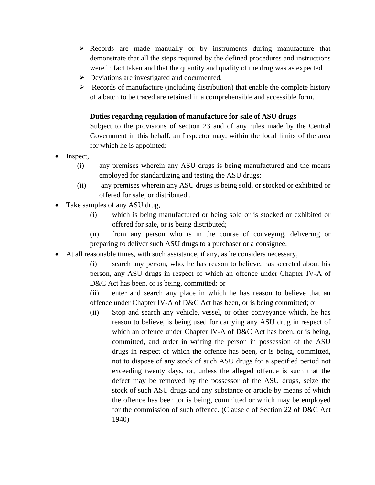- $\triangleright$  Records are made manually or by instruments during manufacture that demonstrate that all the steps required by the defined procedures and instructions were in fact taken and that the quantity and quality of the drug was as expected
- ➢ Deviations are investigated and documented.
- $\triangleright$  Records of manufacture (including distribution) that enable the complete history of a batch to be traced are retained in a comprehensible and accessible form.

#### **Duties regarding regulation of manufacture for sale of ASU drugs**

Subject to the provisions of section 23 and of any rules made by the Central Government in this behalf, an Inspector may, within the local limits of the area for which he is appointed:

- Inspect,
	- (i) any premises wherein any ASU drugs is being manufactured and the means employed for standardizing and testing the ASU drugs;
	- (ii) any premises wherein any ASU drugs is being sold, or stocked or exhibited or offered for sale, or distributed .
- Take samples of any ASU drug,
	- (i) which is being manufactured or being sold or is stocked or exhibited or offered for sale, or is being distributed;
	- (ii) from any person who is in the course of conveying, delivering or preparing to deliver such ASU drugs to a purchaser or a consignee.
- At all reasonable times, with such assistance, if any, as he considers necessary,
	- (i) search any person, who, he has reason to believe, has secreted about his person, any ASU drugs in respect of which an offence under Chapter IV-A of D&C Act has been, or is being, committed; or

(ii) enter and search any place in which he has reason to believe that an offence under Chapter IV-A of D&C Act has been, or is being committed; or

(ii) Stop and search any vehicle, vessel, or other conveyance which, he has reason to believe, is being used for carrying any ASU drug in respect of which an offence under Chapter IV-A of D&C Act has been, or is being, committed, and order in writing the person in possession of the ASU drugs in respect of which the offence has been, or is being, committed, not to dispose of any stock of such ASU drugs for a specified period not exceeding twenty days, or, unless the alleged offence is such that the defect may be removed by the possessor of the ASU drugs, seize the stock of such ASU drugs and any substance or article by means of which the offence has been ,or is being, committed or which may be employed for the commission of such offence. (Clause c of Section 22 of D&C Act 1940)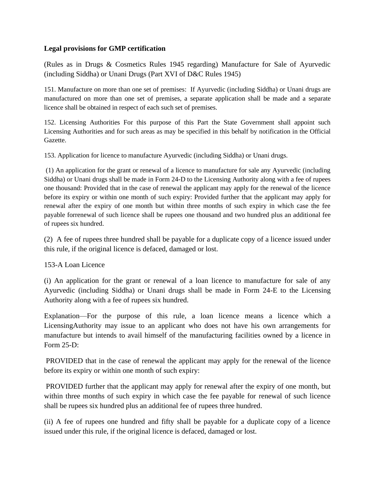#### **Legal provisions for GMP certification**

(Rules as in Drugs & Cosmetics Rules 1945 regarding) Manufacture for Sale of Ayurvedic (including Siddha) or Unani Drugs (Part XVI of D&C Rules 1945)

151. Manufacture on more than one set of premises: If Ayurvedic (including Siddha) or Unani drugs are manufactured on more than one set of premises, a separate application shall be made and a separate licence shall be obtained in respect of each such set of premises.

152. Licensing Authorities For this purpose of this Part the State Government shall appoint such Licensing Authorities and for such areas as may be specified in this behalf by notification in the Official Gazette.

153. Application for licence to manufacture Ayurvedic (including Siddha) or Unani drugs.

(1) An application for the grant or renewal of a licence to manufacture for sale any Ayurvedic (including Siddha) or Unani drugs shall be made in Form 24-D to the Licensing Authority along with a fee of rupees one thousand: Provided that in the case of renewal the applicant may apply for the renewal of the licence before its expiry or within one month of such expiry: Provided further that the applicant may apply for renewal after the expiry of one month but within three months of such expiry in which case the fee payable forrenewal of such licence shall be rupees one thousand and two hundred plus an additional fee of rupees six hundred.

(2) A fee of rupees three hundred shall be payable for a duplicate copy of a licence issued under this rule, if the original licence is defaced, damaged or lost.

153-A Loan Licence

(i) An application for the grant or renewal of a loan licence to manufacture for sale of any Ayurvedic (including Siddha) or Unani drugs shall be made in Form 24-E to the Licensing Authority along with a fee of rupees six hundred.

Explanation—For the purpose of this rule, a loan licence means a licence which a LicensingAuthority may issue to an applicant who does not have his own arrangements for manufacture but intends to avail himself of the manufacturing facilities owned by a licence in Form 25-D:

PROVIDED that in the case of renewal the applicant may apply for the renewal of the licence before its expiry or within one month of such expiry:

PROVIDED further that the applicant may apply for renewal after the expiry of one month, but within three months of such expiry in which case the fee payable for renewal of such licence shall be rupees six hundred plus an additional fee of rupees three hundred.

(ii) A fee of rupees one hundred and fifty shall be payable for a duplicate copy of a licence issued under this rule, if the original licence is defaced, damaged or lost.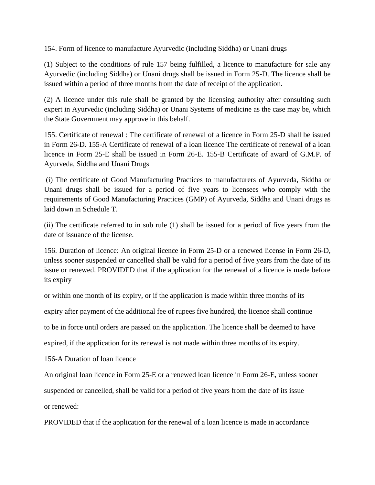154. Form of licence to manufacture Ayurvedic (including Siddha) or Unani drugs

(1) Subject to the conditions of rule 157 being fulfilled, a licence to manufacture for sale any Ayurvedic (including Siddha) or Unani drugs shall be issued in Form 25-D. The licence shall be issued within a period of three months from the date of receipt of the application.

(2) A licence under this rule shall be granted by the licensing authority after consulting such expert in Ayurvedic (including Siddha) or Unani Systems of medicine as the case may be, which the State Government may approve in this behalf.

155. Certificate of renewal : The certificate of renewal of a licence in Form 25-D shall be issued in Form 26-D. 155-A Certificate of renewal of a loan licence The certificate of renewal of a loan licence in Form 25-E shall be issued in Form 26-E. 155-B Certificate of award of G.M.P. of Ayurveda, Siddha and Unani Drugs

(i) The certificate of Good Manufacturing Practices to manufacturers of Ayurveda, Siddha or Unani drugs shall be issued for a period of five years to licensees who comply with the requirements of Good Manufacturing Practices (GMP) of Ayurveda, Siddha and Unani drugs as laid down in Schedule T.

(ii) The certificate referred to in sub rule (1) shall be issued for a period of five years from the date of issuance of the license.

156. Duration of licence: An original licence in Form 25-D or a renewed license in Form 26-D, unless sooner suspended or cancelled shall be valid for a period of five years from the date of its issue or renewed. PROVIDED that if the application for the renewal of a licence is made before its expiry

or within one month of its expiry, or if the application is made within three months of its

expiry after payment of the additional fee of rupees five hundred, the licence shall continue

to be in force until orders are passed on the application. The licence shall be deemed to have

expired, if the application for its renewal is not made within three months of its expiry.

156-A Duration of loan licence

An original loan licence in Form 25-E or a renewed loan licence in Form 26-E, unless sooner

suspended or cancelled, shall be valid for a period of five years from the date of its issue

or renewed:

PROVIDED that if the application for the renewal of a loan licence is made in accordance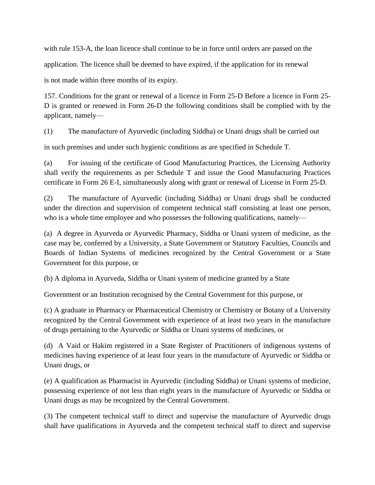with rule 153-A, the loan licence shall continue to be in force until orders are passed on the

application. The licence shall be deemed to have expired, if the application for its renewal

is not made within three months of its expiry.

157. Conditions for the grant or renewal of a licence in Form 25-D Before a licence in Form 25- D is granted or renewed in Form 26-D the following conditions shall be complied with by the applicant, namely—

(1) The manufacture of Ayurvedic (including Siddha) or Unani drugs shall be carried out

in such premises and under such hygienic conditions as are specified in Schedule T.

(a) For issuing of the certificate of Good Manufacturing Practices, the Licensing Authority shall verify the requirements as per Schedule T and issue the Good Manufacturing Practices certificate in Form 26 E-I, simultaneously along with grant or renewal of License in Form 25-D.

(2) The manufacture of Ayurvedic (including Siddha) or Unani drugs shall be conducted under the direction and supervision of competent technical staff consisting at least one person, who is a whole time employee and who possesses the following qualifications, namely—

(a) A degree in Ayurveda or Ayurvedic Pharmacy, Siddha or Unani system of medicine, as the case may be, conferred by a University, a State Government or Statutory Faculties, Councils and Boards of Indian Systems of medicines recognized by the Central Government or a State Government for this purpose, or

(b) A diploma in Ayurveda, Siddha or Unani system of medicine granted by a State

Government or an Institution recognised by the Central Government for this purpose, or

(c) A graduate in Pharmacy or Pharmaceutical Chemistry or Chemistry or Botany of a University recognized by the Central Government with experience of at least two years in the manufacture of drugs pertaining to the Ayurvedic or Siddha or Unani systems of medicines, or

(d) A Vaid or Hakim registered in a State Register of Practitioners of indigenous systems of medicines having experience of at least four years in the manufacture of Ayurvedic or Siddha or Unani drugs, or

(e) A qualification as Pharmacist in Ayurvedic (including Siddha) or Unani systems of medicine, possessing experience of not less than eight years in the manufacture of Ayurvedic or Siddha or Unani drugs as may be recognized by the Central Government.

(3) The competent technical staff to direct and supervise the manufacture of Ayurvedic drugs shall have qualifications in Ayurveda and the competent technical staff to direct and supervise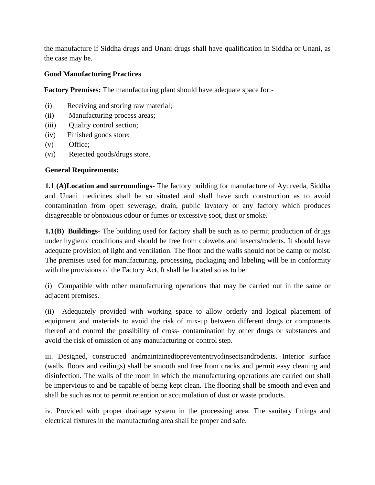the manufacture if Siddha drugs and Unani drugs shall have qualification in Siddha or Unani, as the case may be.

### **Good Manufacturing Practices**

**Factory Premises:** The manufacturing plant should have adequate space for:-

- (i) Receiving and storing raw material;
- (ii) Manufacturing process areas;
- (iii) Quality control section;
- (iv) Finished goods store;
- (v) Office;
- (vi) Rejected goods/drugs store.

### **General Requirements:**

**1.1 (A)Location and surroundings-** The factory building for manufacture of Ayurveda, Siddha and Unani medicines shall be so situated and shall have such construction as to avoid contamination from open sewerage, drain, public lavatory or any factory which produces disagreeable or obnoxious odour or fumes or excessive soot, dust or smoke.

**1.1(B) Buildings**- The building used for factory shall be such as to permit production of drugs under hygienic conditions and should be free from cobwebs and insects/rodents. It should have adequate provision of light and ventilation. The floor and the walls should not be damp or moist. The premises used for manufacturing, processing, packaging and labeling will be in conformity with the provisions of the Factory Act. It shall be located so as to be:

(i) Compatible with other manufacturing operations that may be carried out in the same or adjacent premises.

(ii) Adequately provided with working space to allow orderly and logical placement of equipment and materials to avoid the risk of mix-up between different drugs or components thereof and control the possibility of cross- contamination by other drugs or substances and avoid the risk of omission of any manufacturing or control step.

iii. Designed, constructed andmaintainedtoprevententryofinsectsandrodents. Interior surface (walls, floors and ceilings) shall be smooth and free from cracks and permit easy cleaning and disinfection. The walls of the room in which the manufacturing operations are carried out shall be impervious to and be capable of being kept clean. The flooring shall be smooth and even and shall be such as not to permit retention or accumulation of dust or waste products.

iv. Provided with proper drainage system in the processing area. The sanitary fittings and electrical fixtures in the manufacturing area shall be proper and safe.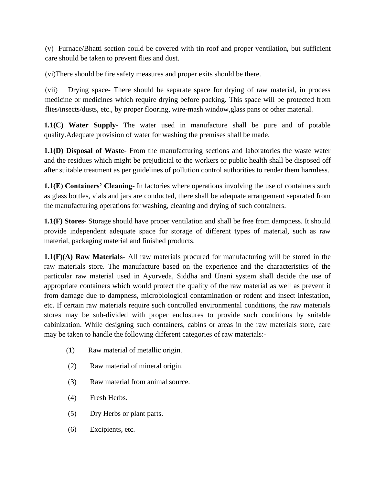(v) Furnace/Bhatti section could be covered with tin roof and proper ventilation, but sufficient care should be taken to prevent flies and dust.

(vi)There should be fire safety measures and proper exits should be there.

(vii) Drying space- There should be separate space for drying of raw material, in process medicine or medicines which require drying before packing. This space will be protected from flies/insects/dusts, etc., by proper flooring, wire-mash window,glass pans or other material.

**1.1(C) Water Supply-** The water used in manufacture shall be pure and of potable quality.Adequate provision of water for washing the premises shall be made.

**1.1(D) Disposal of Waste**- From the manufacturing sections and laboratories the waste water and the residues which might be prejudicial to the workers or public health shall be disposed off after suitable treatment as per guidelines of pollution control authorities to render them harmless.

**1.1(E) Containers' Cleaning-** In factories where operations involving the use of containers such as glass bottles, vials and jars are conducted, there shall be adequate arrangement separated from the manufacturing operations for washing, cleaning and drying of such containers.

**1.1(F) Stores**- Storage should have proper ventilation and shall be free from dampness. It should provide independent adequate space for storage of different types of material, such as raw material, packaging material and finished products.

**1.1(F)(A) Raw Materials-** All raw materials procured for manufacturing will be stored in the raw materials store. The manufacture based on the experience and the characteristics of the particular raw material used in Ayurveda, Siddha and Unani system shall decide the use of appropriate containers which would protect the quality of the raw material as well as prevent it from damage due to dampness, microbiological contamination or rodent and insect infestation, etc. If certain raw materials require such controlled environmental conditions, the raw materials stores may be sub-divided with proper enclosures to provide such conditions by suitable cabinization. While designing such containers, cabins or areas in the raw materials store, care may be taken to handle the following different categories of raw materials:-

- (1) Raw material of metallic origin.
- (2) Raw material of mineral origin.
- (3) Raw material from animal source.
- (4) Fresh Herbs.
- (5) Dry Herbs or plant parts.
- (6) Excipients, etc.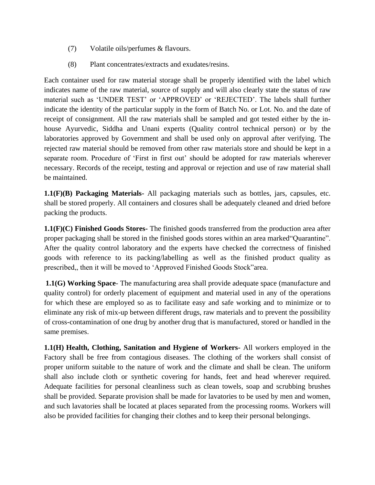- (7) Volatile oils/perfumes & flavours.
- (8) Plant concentrates/extracts and exudates/resins.

Each container used for raw material storage shall be properly identified with the label which indicates name of the raw material, source of supply and will also clearly state the status of raw material such as 'UNDER TEST' or 'APPROVED' or 'REJECTED'. The labels shall further indicate the identity of the particular supply in the form of Batch No. or Lot. No. and the date of receipt of consignment. All the raw materials shall be sampled and got tested either by the inhouse Ayurvedic, Siddha and Unani experts (Quality control technical person) or by the laboratories approved by Government and shall be used only on approval after verifying. The rejected raw material should be removed from other raw materials store and should be kept in a separate room. Procedure of 'First in first out' should be adopted for raw materials wherever necessary. Records of the receipt, testing and approval or rejection and use of raw material shall be maintained.

**1.1(F)(B) Packaging Materials-** All packaging materials such as bottles, jars, capsules, etc. shall be stored properly. All containers and closures shall be adequately cleaned and dried before packing the products.

**1.1(F)(C) Finished Goods Stores-** The finished goods transferred from the production area after proper packaging shall be stored in the finished goods stores within an area marked"Quarantine". After the quality control laboratory and the experts have checked the correctness of finished goods with reference to its packing/labelling as well as the finished product quality as prescribed,, then it will be moved to 'Approved Finished Goods Stock"area.

**1.1(G) Working Space**- The manufacturing area shall provide adequate space (manufacture and quality control) for orderly placement of equipment and material used in any of the operations for which these are employed so as to facilitate easy and safe working and to minimize or to eliminate any risk of mix-up between different drugs, raw materials and to prevent the possibility of cross-contamination of one drug by another drug that is manufactured, stored or handled in the same premises.

**1.1(H) Health, Clothing, Sanitation and Hygiene of Workers-** All workers employed in the Factory shall be free from contagious diseases. The clothing of the workers shall consist of proper uniform suitable to the nature of work and the climate and shall be clean. The uniform shall also include cloth or synthetic covering for hands, feet and head wherever required. Adequate facilities for personal cleanliness such as clean towels, soap and scrubbing brushes shall be provided. Separate provision shall be made for lavatories to be used by men and women, and such lavatories shall be located at places separated from the processing rooms. Workers will also be provided facilities for changing their clothes and to keep their personal belongings.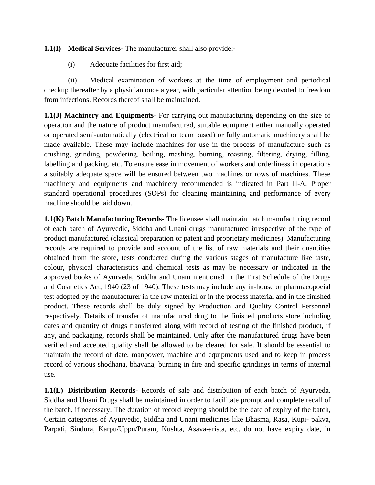**1.1(I) Medical Services**- The manufacturer shall also provide:-

(i) Adequate facilities for first aid;

(ii) Medical examination of workers at the time of employment and periodical checkup thereafter by a physician once a year, with particular attention being devoted to freedom from infections. Records thereof shall be maintained.

**1.1(J) Machinery and Equipments**- For carrying out manufacturing depending on the size of operation and the nature of product manufactured, suitable equipment either manually operated or operated semi-automatically (electrical or team based) or fully automatic machinery shall be made available. These may include machines for use in the process of manufacture such as crushing, grinding, powdering, boiling, mashing, burning, roasting, filtering, drying, filling, labelling and packing, etc. To ensure ease in movement of workers and orderliness in operations a suitably adequate space will be ensured between two machines or rows of machines. These machinery and equipments and machinery recommended is indicated in Part II-A. Proper standard operational procedures (SOPs) for cleaning maintaining and performance of every machine should be laid down.

**1.1(K) Batch Manufacturing Records-** The licensee shall maintain batch manufacturing record of each batch of Ayurvedic, Siddha and Unani drugs manufactured irrespective of the type of product manufactured (classical preparation or patent and proprietary medicines). Manufacturing records are required to provide and account of the list of raw materials and their quantities obtained from the store, tests conducted during the various stages of manufacture like taste, colour, physical characteristics and chemical tests as may be necessary or indicated in the approved books of Ayurveda, Siddha and Unani mentioned in the First Schedule of the Drugs and Cosmetics Act, 1940 (23 of 1940). These tests may include any in-house or pharmacopoeial test adopted by the manufacturer in the raw material or in the process material and in the finished product. These records shall be duly signed by Production and Quality Control Personnel respectively. Details of transfer of manufactured drug to the finished products store including dates and quantity of drugs transferred along with record of testing of the finished product, if any, and packaging, records shall be maintained. Only after the manufactured drugs have been verified and accepted quality shall be allowed to be cleared for sale. It should be essential to maintain the record of date, manpower, machine and equipments used and to keep in process record of various shodhana, bhavana, burning in fire and specific grindings in terms of internal use.

**1.1(L) Distribution Records**- Records of sale and distribution of each batch of Ayurveda, Siddha and Unani Drugs shall be maintained in order to facilitate prompt and complete recall of the batch, if necessary. The duration of record keeping should be the date of expiry of the batch, Certain categories of Ayurvedic, Siddha and Unani medicines like Bhasma, Rasa, Kupi- pakva, Parpati, Sindura, Karpu/Uppu/Puram, Kushta, Asava-arista, etc. do not have expiry date, in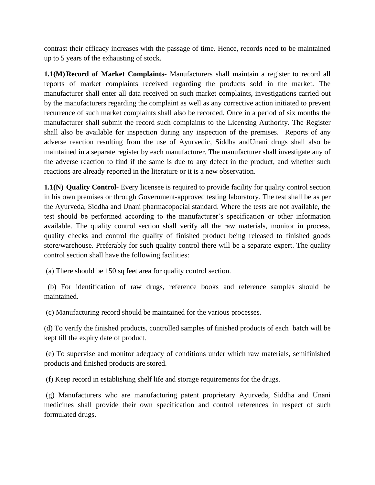contrast their efficacy increases with the passage of time. Hence, records need to be maintained up to 5 years of the exhausting of stock.

**1.1(M) Record of Market Complaints-** Manufacturers shall maintain a register to record all reports of market complaints received regarding the products sold in the market. The manufacturer shall enter all data received on such market complaints, investigations carried out by the manufacturers regarding the complaint as well as any corrective action initiated to prevent recurrence of such market complaints shall also be recorded. Once in a period of six months the manufacturer shall submit the record such complaints to the Licensing Authority. The Register shall also be available for inspection during any inspection of the premises. Reports of any adverse reaction resulting from the use of Ayurvedic, Siddha andUnani drugs shall also be maintained in a separate register by each manufacturer. The manufacturer shall investigate any of the adverse reaction to find if the same is due to any defect in the product, and whether such reactions are already reported in the literature or it is a new observation.

**1.1(N) Quality Control-** Every licensee is required to provide facility for quality control section in his own premises or through Government-approved testing laboratory. The test shall be as per the Ayurveda, Siddha and Unani pharmacopoeial standard. Where the tests are not available, the test should be performed according to the manufacturer's specification or other information available. The quality control section shall verify all the raw materials, monitor in process, quality checks and control the quality of finished product being released to finished goods store/warehouse. Preferably for such quality control there will be a separate expert. The quality control section shall have the following facilities:

(a) There should be 150 sq feet area for quality control section.

 (b) For identification of raw drugs, reference books and reference samples should be maintained.

(c) Manufacturing record should be maintained for the various processes.

(d) To verify the finished products, controlled samples of finished products of each batch will be kept till the expiry date of product.

(e) To supervise and monitor adequacy of conditions under which raw materials, semifinished products and finished products are stored.

(f) Keep record in establishing shelf life and storage requirements for the drugs.

(g) Manufacturers who are manufacturing patent proprietary Ayurveda, Siddha and Unani medicines shall provide their own specification and control references in respect of such formulated drugs.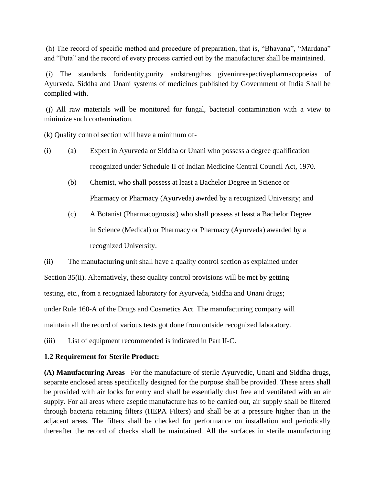(h) The record of specific method and procedure of preparation, that is, "Bhavana", "Mardana" and "Puta" and the record of every process carried out by the manufacturer shall be maintained.

(i) The standards foridentity,purity andstrengthas giveninrespectivepharmacopoeias of Ayurveda, Siddha and Unani systems of medicines published by Government of India Shall be complied with.

(j) All raw materials will be monitored for fungal, bacterial contamination with a view to minimize such contamination.

(k) Quality control section will have a minimum of-

- (i) (a) Expert in Ayurveda or Siddha or Unani who possess a degree qualification recognized under Schedule II of Indian Medicine Central Council Act, 1970.
	- (b) Chemist, who shall possess at least a Bachelor Degree in Science or Pharmacy or Pharmacy (Ayurveda) awrded by a recognized University; and
	- (c) A Botanist (Pharmacognosist) who shall possess at least a Bachelor Degree in Science (Medical) or Pharmacy or Pharmacy (Ayurveda) awarded by a recognized University.

(ii) The manufacturing unit shall have a quality control section as explained under Section 35(ii). Alternatively, these quality control provisions will be met by getting testing, etc., from a recognized laboratory for Ayurveda, Siddha and Unani drugs; under Rule 160-A of the Drugs and Cosmetics Act. The manufacturing company will maintain all the record of various tests got done from outside recognized laboratory.

(iii) List of equipment recommended is indicated in Part II-C.

#### **1.2 Requirement for Sterile Product:**

**(A) Manufacturing Areas**– For the manufacture of sterile Ayurvedic, Unani and Siddha drugs, separate enclosed areas specifically designed for the purpose shall be provided. These areas shall be provided with air locks for entry and shall be essentially dust free and ventilated with an air supply. For all areas where aseptic manufacture has to be carried out, air supply shall be filtered through bacteria retaining filters (HEPA Filters) and shall be at a pressure higher than in the adjacent areas. The filters shall be checked for performance on installation and periodically thereafter the record of checks shall be maintained. All the surfaces in sterile manufacturing